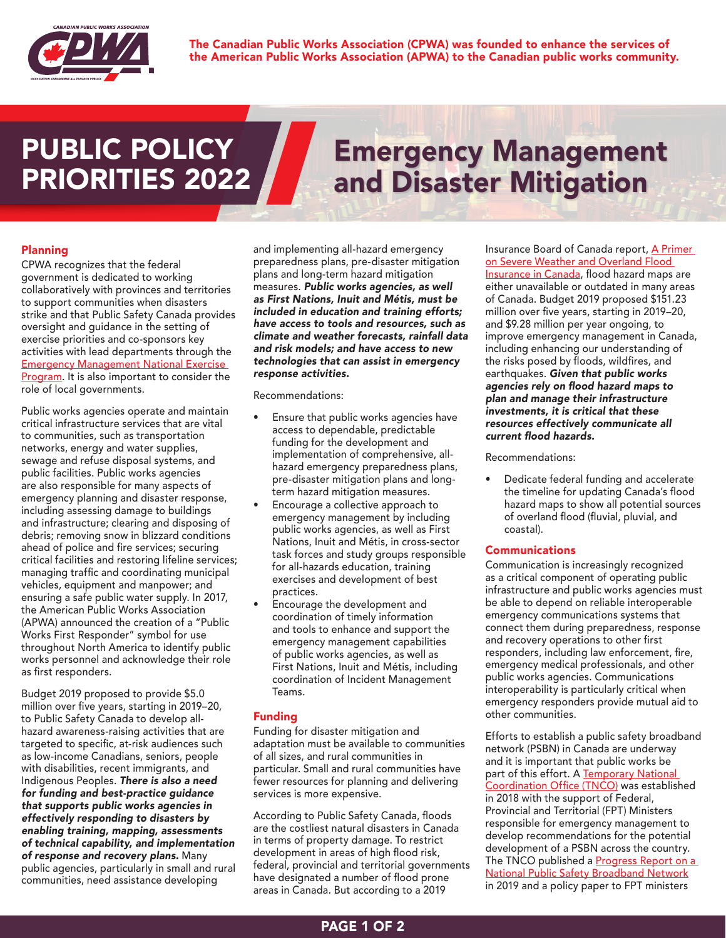

## **PUBLIC POLICY<br>PRIORITIES 2022**

# PUBLIC POLICY<br>
PRIORITIES 2022 and Disaster Mitigation

### Planning

CPWA recognizes that the federal government is dedicated to working collaboratively with provinces and territories to support communities when disasters strike and that Public Safety Canada provides oversight and guidance in the setting of exercise priorities and co-sponsors key activities with lead departments through the [Emergency Management National Exercise](https://www.publicsafety.gc.ca/cnt/mrgnc-mngmnt/mrgnc-prprdnss/ntnl-xrcs-prgrm-en.aspx)  [Program](https://www.publicsafety.gc.ca/cnt/mrgnc-mngmnt/mrgnc-prprdnss/ntnl-xrcs-prgrm-en.aspx). It is also important to consider the role of local governments.

Public works agencies operate and maintain critical infrastructure services that are vital to communities, such as transportation networks, energy and water supplies, sewage and refuse disposal systems, and public facilities. Public works agencies are also responsible for many aspects of emergency planning and disaster response, including assessing damage to buildings and infrastructure; clearing and disposing of debris; removing snow in blizzard conditions ahead of police and fire services; securing critical facilities and restoring lifeline services; managing traffic and coordinating municipal vehicles, equipment and manpower; and ensuring a safe public water supply. In 2017, the American Public Works Association (APWA) announced the creation of a "Public Works First Responder" symbol for use throughout North America to identify public works personnel and acknowledge their role as first responders.

Budget 2019 proposed to provide \$5.0 million over five years, starting in 2019–20, to Public Safety Canada to develop allhazard awareness-raising activities that are targeted to specific, at-risk audiences such as low-income Canadians, seniors, people with disabilities, recent immigrants, and Indigenous Peoples. *There is also a need for funding and best-practice guidance that supports public works agencies in effectively responding to disasters by enabling training, mapping, assessments of technical capability, and implementation of response and recovery plans.* Many public agencies, particularly in small and rural communities, need assistance developing

and implementing all-hazard emergency preparedness plans, pre-disaster mitigation plans and long-term hazard mitigation measures. *Public works agencies, as well as First Nations, Inuit and Métis, must be included in education and training efforts; have access to tools and resources, such as climate and weather forecasts, rainfall data and risk models; and have access to new technologies that can assist in emergency response activities.*

Recommendations:

- Ensure that public works agencies have access to dependable, predictable funding for the development and implementation of comprehensive, allhazard emergency preparedness plans, pre-disaster mitigation plans and longterm hazard mitigation measures.
- Encourage a collective approach to emergency management by including public works agencies, as well as First Nations, Inuit and Métis, in cross-sector task forces and study groups responsible for all-hazards education, training exercises and development of best practices.
- Encourage the development and coordination of timely information and tools to enhance and support the emergency management capabilities of public works agencies, as well as First Nations, Inuit and Métis, including coordination of Incident Management Teams.

### Funding

Funding for disaster mitigation and adaptation must be available to communities of all sizes, and rural communities in particular. Small and rural communities have fewer resources for planning and delivering services is more expensive.

According to Public Safety Canada, floods are the costliest natural disasters in Canada in terms of property damage. To restrict development in areas of high flood risk, federal, provincial and territorial governments have designated a number of flood prone areas in Canada. But according to a 2019

Insurance Board of Canada report, A Primer [on Severe Weather and Overland Flood](http://www.ibc.ca/on/resources/media-centre/severe-weather-primer)  [Insurance in Canada](http://www.ibc.ca/on/resources/media-centre/severe-weather-primer), flood hazard maps are either unavailable or outdated in many areas of Canada. Budget 2019 proposed \$151.23 million over five years, starting in 2019–20, and \$9.28 million per year ongoing, to improve emergency management in Canada, including enhancing our understanding of the risks posed by floods, wildfires, and earthquakes. *Given that public works*  agencies rely on flood hazard maps to *plan and manage their infrastructure investments, it is critical that these resources effectively communicate all*  current flood hazards.

Recommendations:

• Dedicate federal funding and accelerate the timeline for updating Canada's flood hazard maps to show all potential sources of overland flood (fluvial, pluvial, and coastal).

### Communications

Communication is increasingly recognized as a critical component of operating public infrastructure and public works agencies must be able to depend on reliable interoperable emergency communications systems that connect them during preparedness, response and recovery operations to other first responders, including law enforcement, fire, emergency medical professionals, and other public works agencies. Communications interoperability is particularly critical when emergency responders provide mutual aid to other communities.

Efforts to establish a public safety broadband network (PSBN) in Canada are underway and it is important that public works be part of this effort. A Temporary National [Coordination Office \(TNCO\)](https://www.publicsafety.gc.ca/cnt/mrgnc-mngmnt/tnco-en.aspx) was established in 2018 with the support of Federal, Provincial and Territorial (FPT) Ministers responsible for emergency management to develop recommendations for the potential development of a PSBN across the country. The TNCO published a **Progress Report on a** [National Public Safety Broadband Network](https://www.publicsafety.gc.ca/cnt/rsrcs/pblctns/2019-prprt-npsbn/index-en.aspx) in 2019 and a policy paper to FPT ministers